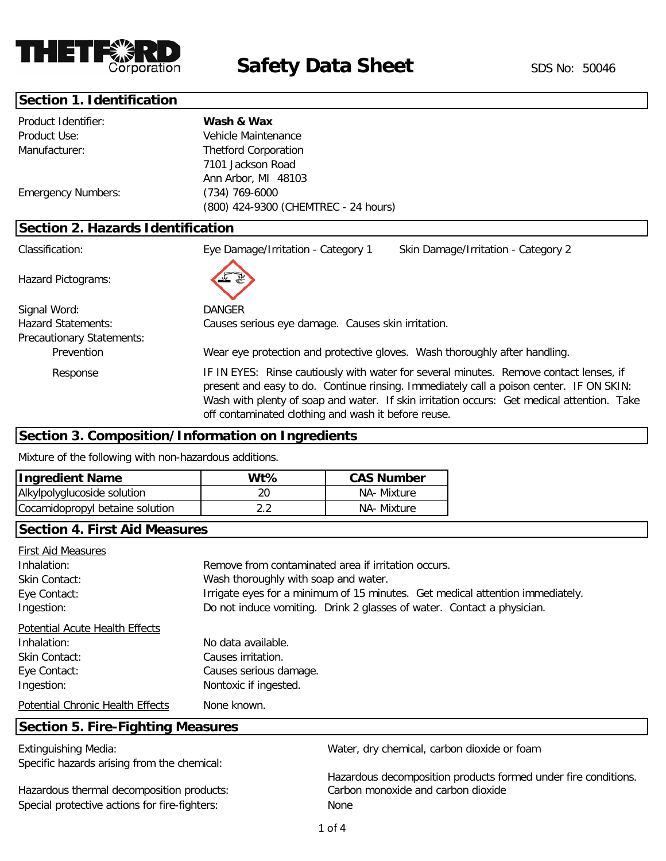

### **Section 1. Identification**

| Product Identifier:               | Wash & Wax                           |  |
|-----------------------------------|--------------------------------------|--|
| Product Use:                      | Vehicle Maintenance                  |  |
| Manufacturer:                     | <b>Thetford Corporation</b>          |  |
|                                   | 7101 Jackson Road                    |  |
|                                   | Ann Arbor, MI 48103                  |  |
| <b>Emergency Numbers:</b>         | (734) 769-6000                       |  |
|                                   | (800) 424-9300 (CHEMTREC - 24 hours) |  |
| Section 2. Hazards Identification |                                      |  |

#### **Section 2. Hazards Identification**

| Classification:           | Eye Damage/Irritation - Category 1                                         | Skin Damage/Irritation - Category 2                                                                                                                                                                                                                                             |
|---------------------------|----------------------------------------------------------------------------|---------------------------------------------------------------------------------------------------------------------------------------------------------------------------------------------------------------------------------------------------------------------------------|
| Hazard Pictograms:        |                                                                            |                                                                                                                                                                                                                                                                                 |
| Signal Word:              | <b>DANGER</b>                                                              |                                                                                                                                                                                                                                                                                 |
| <b>Hazard Statements:</b> | Causes serious eye damage. Causes skin irritation.                         |                                                                                                                                                                                                                                                                                 |
| Precautionary Statements: |                                                                            |                                                                                                                                                                                                                                                                                 |
| Prevention                | Wear eye protection and protective gloves. Wash thoroughly after handling. |                                                                                                                                                                                                                                                                                 |
| Response                  | off contaminated clothing and wash it before reuse.                        | IF IN EYES: Rinse cautiously with water for several minutes. Remove contact lenses, if<br>present and easy to do. Continue rinsing. Immediately call a poison center. IF ON SKIN:<br>Wash with plenty of soap and water. If skin irritation occurs: Get medical attention. Take |

## **Section 3. Composition/Information on Ingredients**

Mixture of the following with non-hazardous additions.

| <b>Ingredient Name</b>          | Wt% | <b>CAS Number</b> |  |
|---------------------------------|-----|-------------------|--|
| Alkylpolyglucoside solution     | 20  | NA- Mixture       |  |
| Cocamidopropyl betaine solution | າ າ | NA- Mixture       |  |

### **Section 4. First Aid Measures**

| <b>Extinguishing Media:</b><br>Specific hazards arising from the chemical: | Water, dry chemical, carbon dioxide or foam                                   |
|----------------------------------------------------------------------------|-------------------------------------------------------------------------------|
| <b>Section 5. Fire-Fighting Measures</b>                                   |                                                                               |
| Potential Chronic Health Effects                                           | None known.                                                                   |
| Ingestion:                                                                 | Nontoxic if ingested.                                                         |
| Eye Contact:                                                               | Causes serious damage.                                                        |
| Skin Contact:                                                              | Causes irritation.                                                            |
| Inhalation:                                                                | No data available.                                                            |
| <b>Potential Acute Health Effects</b>                                      |                                                                               |
| Ingestion:                                                                 | Do not induce vomiting. Drink 2 glasses of water. Contact a physician.        |
| Eye Contact:                                                               | Irrigate eyes for a minimum of 15 minutes. Get medical attention immediately. |
| Skin Contact:                                                              | Wash thoroughly with soap and water.                                          |
| Inhalation:                                                                | Remove from contaminated area if irritation occurs.                           |
| <b>First Aid Measures</b>                                                  |                                                                               |

Hazardous thermal decomposition products: Special protective actions for fire-fighters: None

Hazardous decomposition products formed under fire conditions. Carbon monoxide and carbon dioxide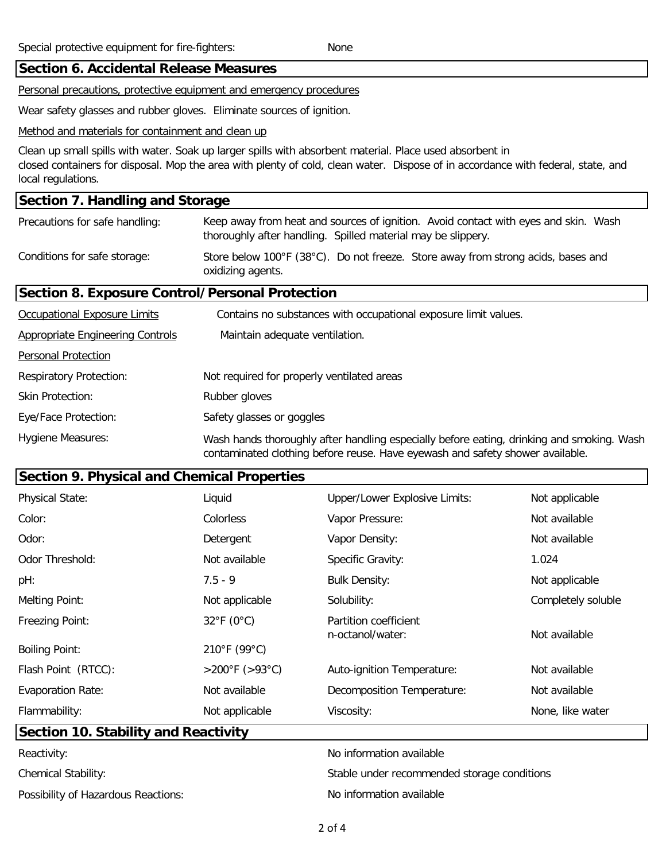#### **Section 6. Accidental Release Measures**

Personal precautions, protective equipment and emergency procedures

Wear safety glasses and rubber gloves. Eliminate sources of ignition.

Method and materials for containment and clean up

Clean up small spills with water. Soak up larger spills with absorbent material. Place used absorbent in closed containers for disposal. Mop the area with plenty of cold, clean water. Dispose of in accordance with federal, state, and local regulations.

#### **Section 7. Handling and Storage**

| Precautions for safe handling:                  | Keep away from heat and sources of ignition. Avoid contact with eyes and skin. Wash<br>thoroughly after handling. Spilled material may be slippery. |  |  |  |
|-------------------------------------------------|-----------------------------------------------------------------------------------------------------------------------------------------------------|--|--|--|
| Conditions for safe storage:                    | Store below 100°F (38°C). Do not freeze. Store away from strong acids, bases and<br>oxidizing agents.                                               |  |  |  |
| Section 8. Exposure Control/Personal Protection |                                                                                                                                                     |  |  |  |
| <b>Occupational Exposure Limits</b>             | Contains no substances with occupational exposure limit values.                                                                                     |  |  |  |
| <b>Appropriate Engineering Controls</b>         | Maintain adequate ventilation.                                                                                                                      |  |  |  |

Respiratory Protection: Not required for properly ventilated areas

Skin Protection: Rubber gloves

Personal Protection

Eye/Face Protection: Safety glasses or goggles

Hygiene Measures: Wash hands thoroughly after handling especially before eating, drinking and smoking. Wash contaminated clothing before reuse. Have eyewash and safety shower available.

## **Section 9. Physical and Chemical Properties**

| <b>Physical State:</b>   | Liquid               | <b>Upper/Lower Explosive Limits:</b>      | Not applicable     |
|--------------------------|----------------------|-------------------------------------------|--------------------|
| Color:                   | Colorless            | Vapor Pressure:                           | Not available      |
| Odor:                    | Detergent            | Vapor Density:                            | Not available      |
| Odor Threshold:          | Not available        | Specific Gravity:                         | 1.024              |
| pH:                      | $7.5 - 9$            | <b>Bulk Density:</b>                      | Not applicable     |
| Melting Point:           | Not applicable       | Solubility:                               | Completely soluble |
| Freezing Point:          | $32^{\circ}$ F (0°C) | Partition coefficient<br>n-octanol/water: | Not available      |
| <b>Boiling Point:</b>    | 210°F (99°C)         |                                           |                    |
| Flash Point (RTCC):      | >200°F (>93°C)       | Auto-ignition Temperature:                | Not available      |
| <b>Evaporation Rate:</b> | Not available        | Decomposition Temperature:                | Not available      |
| Flammability:            | Not applicable       | Viscosity:                                | None, like water   |

#### **Section 10. Stability and Reactivity**

| Reactivity:                         | No information available                    |
|-------------------------------------|---------------------------------------------|
| <b>Chemical Stability:</b>          | Stable under recommended storage conditions |
| Possibility of Hazardous Reactions: | No information available                    |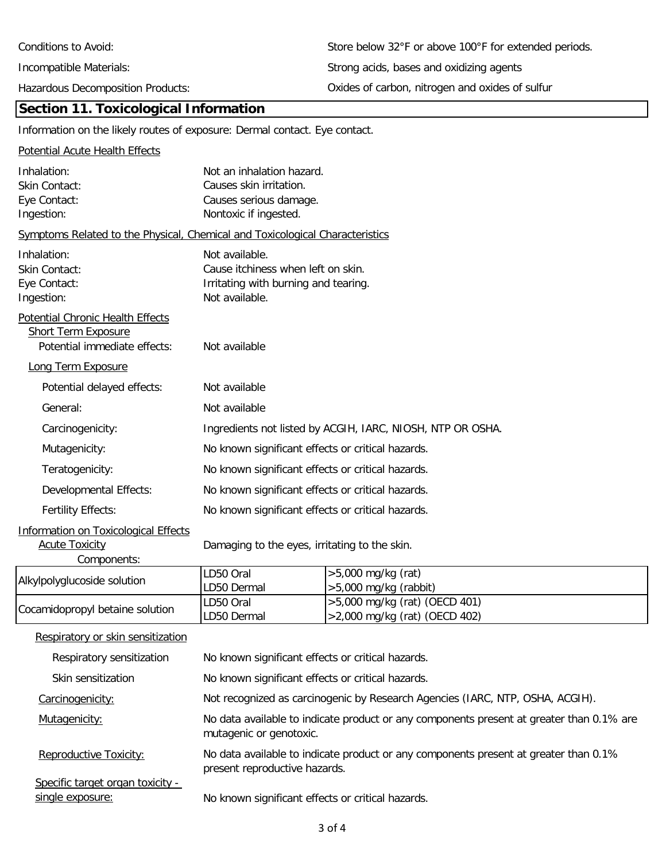Incompatible Materials:

Hazardous Decomposition Products:

### **Section 11. Toxicological Information**

Information on the likely routes of exposure: Dermal contact. Eye contact.

| <b>Potential Acute Health Effects</b>                                                          |                                                                              |
|------------------------------------------------------------------------------------------------|------------------------------------------------------------------------------|
| Inhalation:                                                                                    | Not an inhalation hazard.                                                    |
| Skin Contact:                                                                                  | Causes skin irritation.                                                      |
| Eye Contact:                                                                                   | Causes serious damage.                                                       |
| Ingestion:                                                                                     | Nontoxic if ingested.                                                        |
|                                                                                                | Symptoms Related to the Physical, Chemical and Toxicological Characteristics |
| Inhalation:                                                                                    | Not available.                                                               |
| Skin Contact:                                                                                  | Cause itchiness when left on skin.                                           |
| Eye Contact:                                                                                   | Irritating with burning and tearing.                                         |
| Ingestion:                                                                                     | Not available.                                                               |
| Potential Chronic Health Effects<br><b>Short Term Exposure</b><br>Potential immediate effects: | Not available                                                                |
| Long Term Exposure                                                                             |                                                                              |
| Potential delayed effects:                                                                     | Not available                                                                |
| General:                                                                                       | Not available                                                                |
| Carcinogenicity:                                                                               | Ingredients not listed by ACGIH, IARC, NIOSH, NTP OR OSHA.                   |
| Mutagenicity:                                                                                  | No known significant effects or critical hazards.                            |
| Teratogenicity:                                                                                | No known significant effects or critical hazards.                            |
| Developmental Effects:                                                                         | No known significant effects or critical hazards.                            |
| <b>Fertility Effects:</b>                                                                      | No known significant effects or critical hazards.                            |
| <b>Information on Toxicological Effects</b><br><b>Acute Toxicity</b><br>Components:            | Damaging to the eyes, irritating to the skin.                                |

|                                 | ILD50 Oral          | $\ge$ 5,000 mg/kg (rat)               |
|---------------------------------|---------------------|---------------------------------------|
| Alkylpolyglucoside solution     | <b>ILD50 Dermal</b> | $\vert$ >5,000 mg/kg (rabbit)         |
|                                 | ILD50 Oral          | $\ge$ 5,000 mg/kg (rat) (OECD 401)    |
| Cocamidopropyl betaine solution | LD50 Dermal         | $\vert$ >2,000 mg/kg (rat) (OECD 402) |

| Respiratory or skin sensitization |                                                                                                                       |
|-----------------------------------|-----------------------------------------------------------------------------------------------------------------------|
| Respiratory sensitization         | No known significant effects or critical hazards.                                                                     |
| Skin sensitization                | No known significant effects or critical hazards.                                                                     |
| Carcinogenicity:                  | Not recognized as carcinogenic by Research Agencies (IARC, NTP, OSHA, ACGIH).                                         |
| Mutagenicity:                     | No data available to indicate product or any components present at greater than 0.1% are<br>mutagenic or genotoxic.   |
| <b>Reproductive Toxicity:</b>     | No data available to indicate product or any components present at greater than 0.1%<br>present reproductive hazards. |
| Specific target organ toxicity -  |                                                                                                                       |
| single exposure:                  | No known significant effects or critical hazards.                                                                     |

Store below 32°F or above 100°F for extended periods. Strong acids, bases and oxidizing agents Oxides of carbon, nitrogen and oxides of sulfur